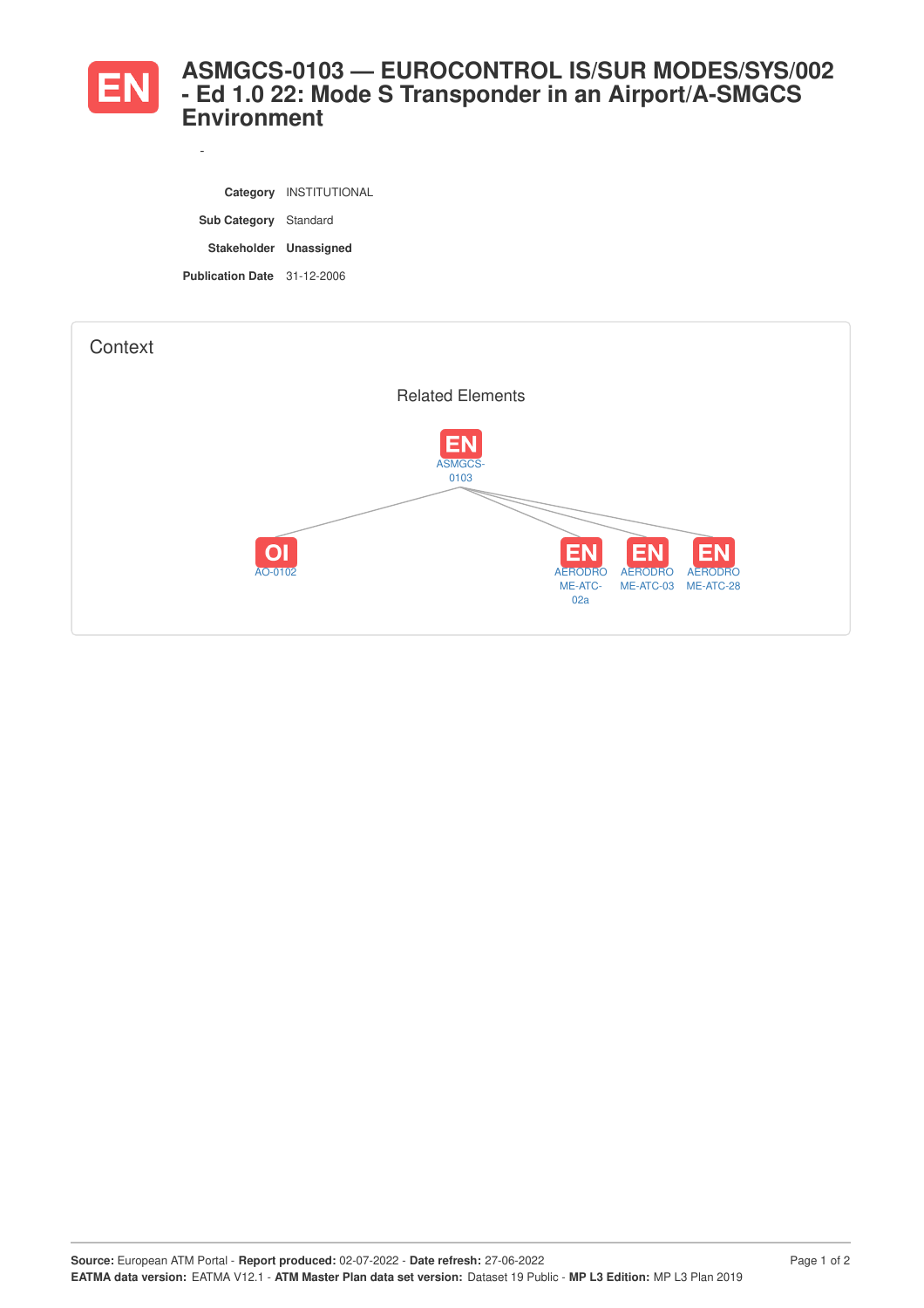

*-*

## **ASMGCS-0103 — EUROCONTROL IS/SUR MODES/SYS/002 - Ed 1.0 22: Mode S Transponder in an Airport/A-SMGCS Environment**

|                              | Category INSTITUTIONAL |
|------------------------------|------------------------|
| <b>Sub Category</b> Standard |                        |
| Stakeholder Unassigned       |                        |
| Publication Date 31-12-2006  |                        |

| Context |                                                |                                                                                                                                       |
|---------|------------------------------------------------|---------------------------------------------------------------------------------------------------------------------------------------|
|         | <b>Related Elements</b>                        |                                                                                                                                       |
|         | <b>EN</b><br>ASMGCS-<br>0103<br> O <br>AO-0102 | <b>EN</b><br><b>EN</b><br><b>EN</b><br><b>AERODRO</b><br><b>AERODRO</b><br><b>AERODRO</b><br>ME-ATC-<br>ME-ATC-03<br>ME-ATC-28<br>02a |